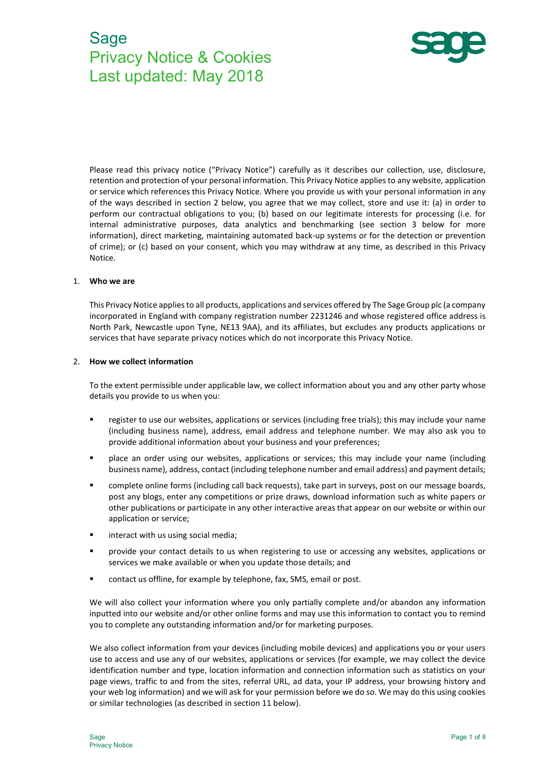# Sage Privacy Notice & Cookies Last updated: May 2018



Please read this privacy notice ("Privacy Notice") carefully as it describes our collection, use, disclosure, retention and protection of your personal information. This Privacy Notice applies to any website, application or service which references this Privacy Notice. Where you provide us with your personal information in any of the ways described in section 2 below, you agree that we may collect, store and use it: (a) in order to perform our contractual obligations to you; (b) based on our legitimate interests for processing (i.e. for internal administrative purposes, data analytics and benchmarking (see section 3 below for more information), direct marketing, maintaining automated back-up systems or for the detection or prevention of crime); or (c) based on your consent, which you may withdraw at any time, as described in this Privacy Notice.

#### 1. Who we are

This Privacy Notice applies to all products, applications and services offered by The Sage Group plc (a company incorporated in England with company registration number 2231246 and whose registered office address is North Park, Newcastle upon Tyne, NE13 9AA), and its affiliates, but excludes any products applications or services that have separate privacy notices which do not incorporate this Privacy Notice.

#### 2. How we collect information

To the extent permissible under applicable law, we collect information about you and any other party whose details you provide to us when you:

- register to use our websites, applications or services (including free trials); this may include your name (including business name), address, email address and telephone number. We may also ask you to provide additional information about your business and your preferences;
- place an order using our websites, applications or services; this may include your name (including business name), address, contact (including telephone number and email address) and payment details;
- complete online forms (including call back requests), take part in surveys, post on our message boards, post any blogs, enter any competitions or prize draws, download information such as white papers or other publications or participate in any other interactive areas that appear on our website or within our application or service;
- interact with us using social media;
- provide your contact details to us when registering to use or accessing any websites, applications or services we make available or when you update those details; and
- contact us offline, for example by telephone, fax, SMS, email or post.

We will also collect your information where you only partially complete and/or abandon any information inputted into our website and/or other online forms and may use this information to contact you to remind you to complete any outstanding information and/or for marketing purposes.

We also collect information from your devices (including mobile devices) and applications you or your users use to access and use any of our websites, applications or services (for example, we may collect the device identification number and type, location information and connection information such as statistics on your page views, traffic to and from the sites, referral URL, ad data, your IP address, your browsing history and your web log information) and we will ask for your permission before we do so. We may do this using cookies or similar technologies (as described in section 11 below).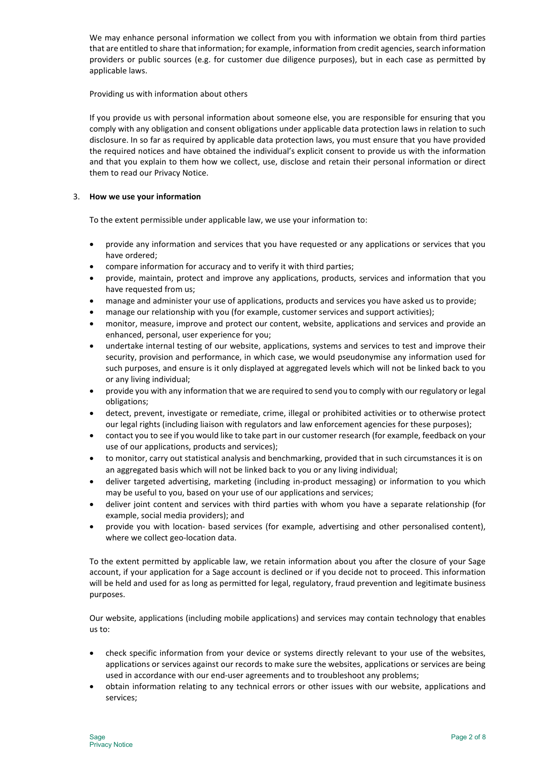We may enhance personal information we collect from you with information we obtain from third parties that are entitled to share that information; for example, information from credit agencies, search information providers or public sources (e.g. for customer due diligence purposes), but in each case as permitted by applicable laws.

## Providing us with information about others

If you provide us with personal information about someone else, you are responsible for ensuring that you comply with any obligation and consent obligations under applicable data protection laws in relation to such disclosure. In so far as required by applicable data protection laws, you must ensure that you have provided the required notices and have obtained the individual's explicit consent to provide us with the information and that you explain to them how we collect, use, disclose and retain their personal information or direct them to read our Privacy Notice.

# 3. How we use your information

To the extent permissible under applicable law, we use your information to:

- provide any information and services that you have requested or any applications or services that you have ordered;
- compare information for accuracy and to verify it with third parties;
- provide, maintain, protect and improve any applications, products, services and information that you have requested from us;
- manage and administer your use of applications, products and services you have asked us to provide;
- manage our relationship with you (for example, customer services and support activities);
- monitor, measure, improve and protect our content, website, applications and services and provide an enhanced, personal, user experience for you;
- undertake internal testing of our website, applications, systems and services to test and improve their security, provision and performance, in which case, we would pseudonymise any information used for such purposes, and ensure is it only displayed at aggregated levels which will not be linked back to you or any living individual;
- provide you with any information that we are required to send you to comply with our regulatory or legal obligations;
- detect, prevent, investigate or remediate, crime, illegal or prohibited activities or to otherwise protect our legal rights (including liaison with regulators and law enforcement agencies for these purposes);
- contact you to see if you would like to take part in our customer research (for example, feedback on your use of our applications, products and services);
- to monitor, carry out statistical analysis and benchmarking, provided that in such circumstances it is on an aggregated basis which will not be linked back to you or any living individual;
- deliver targeted advertising, marketing (including in-product messaging) or information to you which may be useful to you, based on your use of our applications and services;
- deliver joint content and services with third parties with whom you have a separate relationship (for example, social media providers); and
- provide you with location- based services (for example, advertising and other personalised content), where we collect geo-location data.

To the extent permitted by applicable law, we retain information about you after the closure of your Sage account, if your application for a Sage account is declined or if you decide not to proceed. This information will be held and used for as long as permitted for legal, regulatory, fraud prevention and legitimate business purposes.

Our website, applications (including mobile applications) and services may contain technology that enables us to:

- check specific information from your device or systems directly relevant to your use of the websites, applications or services against our records to make sure the websites, applications or services are being used in accordance with our end-user agreements and to troubleshoot any problems;
- obtain information relating to any technical errors or other issues with our website, applications and services;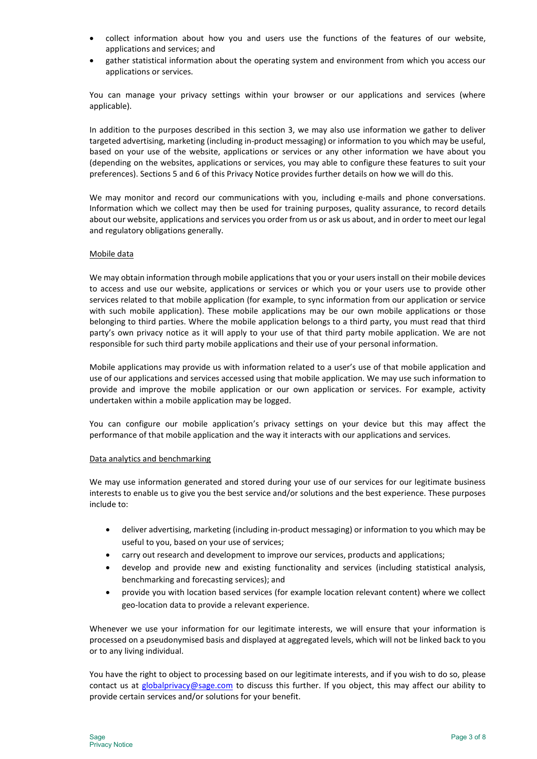- collect information about how you and users use the functions of the features of our website, applications and services; and
- gather statistical information about the operating system and environment from which you access our applications or services.

You can manage your privacy settings within your browser or our applications and services (where applicable).

In addition to the purposes described in this section 3, we may also use information we gather to deliver targeted advertising, marketing (including in-product messaging) or information to you which may be useful, based on your use of the website, applications or services or any other information we have about you (depending on the websites, applications or services, you may able to configure these features to suit your preferences). Sections 5 and 6 of this Privacy Notice provides further details on how we will do this.

We may monitor and record our communications with you, including e-mails and phone conversations. Information which we collect may then be used for training purposes, quality assurance, to record details about our website, applications and services you order from us or ask us about, and in order to meet our legal and regulatory obligations generally.

## Mobile data

We may obtain information through mobile applications that you or your users install on their mobile devices to access and use our website, applications or services or which you or your users use to provide other services related to that mobile application (for example, to sync information from our application or service with such mobile application). These mobile applications may be our own mobile applications or those belonging to third parties. Where the mobile application belongs to a third party, you must read that third party's own privacy notice as it will apply to your use of that third party mobile application. We are not responsible for such third party mobile applications and their use of your personal information.

Mobile applications may provide us with information related to a user's use of that mobile application and use of our applications and services accessed using that mobile application. We may use such information to provide and improve the mobile application or our own application or services. For example, activity undertaken within a mobile application may be logged.

You can configure our mobile application's privacy settings on your device but this may affect the performance of that mobile application and the way it interacts with our applications and services.

## Data analytics and benchmarking

We may use information generated and stored during your use of our services for our legitimate business interests to enable us to give you the best service and/or solutions and the best experience. These purposes include to:

- deliver advertising, marketing (including in-product messaging) or information to you which may be useful to you, based on your use of services;
- carry out research and development to improve our services, products and applications;
- develop and provide new and existing functionality and services (including statistical analysis, benchmarking and forecasting services); and
- provide you with location based services (for example location relevant content) where we collect geo-location data to provide a relevant experience.

Whenever we use your information for our legitimate interests, we will ensure that your information is processed on a pseudonymised basis and displayed at aggregated levels, which will not be linked back to you or to any living individual.

You have the right to object to processing based on our legitimate interests, and if you wish to do so, please contact us at globalprivacy@sage.com to discuss this further. If you object, this may affect our ability to provide certain services and/or solutions for your benefit.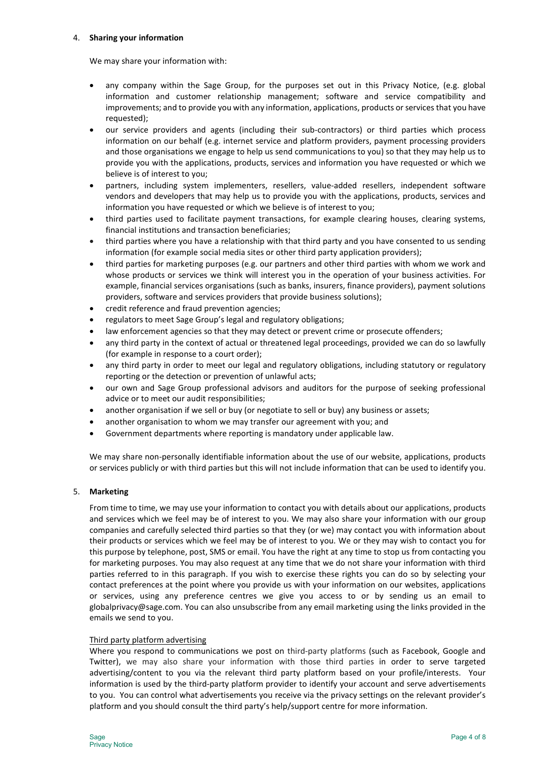#### 4. Sharing your information

We may share your information with:

- any company within the Sage Group, for the purposes set out in this Privacy Notice, (e.g. global information and customer relationship management; software and service compatibility and improvements; and to provide you with any information, applications, products or services that you have requested);
- our service providers and agents (including their sub-contractors) or third parties which process information on our behalf (e.g. internet service and platform providers, payment processing providers and those organisations we engage to help us send communications to you) so that they may help us to provide you with the applications, products, services and information you have requested or which we believe is of interest to you;
- partners, including system implementers, resellers, value-added resellers, independent software vendors and developers that may help us to provide you with the applications, products, services and information you have requested or which we believe is of interest to you;
- third parties used to facilitate payment transactions, for example clearing houses, clearing systems, financial institutions and transaction beneficiaries;
- third parties where you have a relationship with that third party and you have consented to us sending information (for example social media sites or other third party application providers);
- third parties for marketing purposes (e.g. our partners and other third parties with whom we work and whose products or services we think will interest you in the operation of your business activities. For example, financial services organisations (such as banks, insurers, finance providers), payment solutions providers, software and services providers that provide business solutions);
- credit reference and fraud prevention agencies;
- regulators to meet Sage Group's legal and regulatory obligations;
- law enforcement agencies so that they may detect or prevent crime or prosecute offenders;
- any third party in the context of actual or threatened legal proceedings, provided we can do so lawfully (for example in response to a court order);
- any third party in order to meet our legal and regulatory obligations, including statutory or regulatory reporting or the detection or prevention of unlawful acts;
- our own and Sage Group professional advisors and auditors for the purpose of seeking professional advice or to meet our audit responsibilities;
- another organisation if we sell or buy (or negotiate to sell or buy) any business or assets;
- another organisation to whom we may transfer our agreement with you; and
- Government departments where reporting is mandatory under applicable law.

We may share non-personally identifiable information about the use of our website, applications, products or services publicly or with third parties but this will not include information that can be used to identify you.

## 5. Marketing

From time to time, we may use your information to contact you with details about our applications, products and services which we feel may be of interest to you. We may also share your information with our group companies and carefully selected third parties so that they (or we) may contact you with information about their products or services which we feel may be of interest to you. We or they may wish to contact you for this purpose by telephone, post, SMS or email. You have the right at any time to stop us from contacting you for marketing purposes. You may also request at any time that we do not share your information with third parties referred to in this paragraph. If you wish to exercise these rights you can do so by selecting your contact preferences at the point where you provide us with your information on our websites, applications or services, using any preference centres we give you access to or by sending us an email to globalprivacy@sage.com. You can also unsubscribe from any email marketing using the links provided in the emails we send to you.

## Third party platform advertising

Where you respond to communications we post on third-party platforms (such as Facebook, Google and Twitter), we may also share your information with those third parties in order to serve targeted advertising/content to you via the relevant third party platform based on your profile/interests. Your information is used by the third-party platform provider to identify your account and serve advertisements to you. You can control what advertisements you receive via the privacy settings on the relevant provider's platform and you should consult the third party's help/support centre for more information.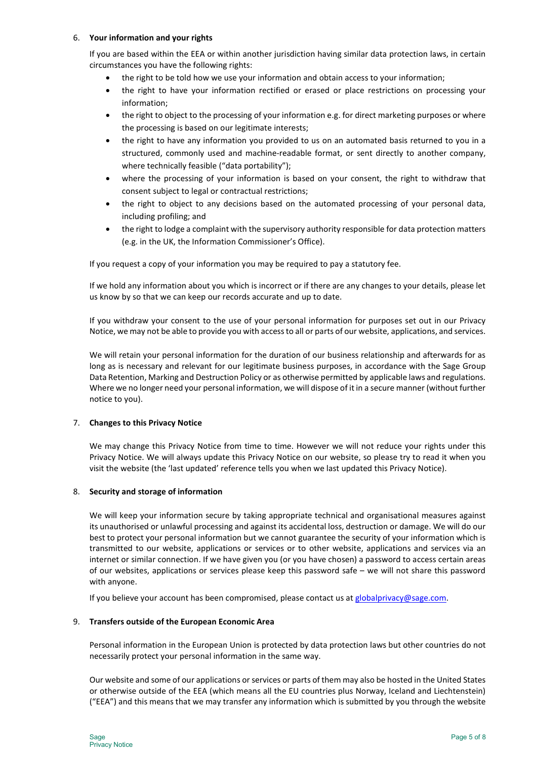## 6. Your information and your rights

If you are based within the EEA or within another jurisdiction having similar data protection laws, in certain circumstances you have the following rights:

- the right to be told how we use your information and obtain access to your information;
- the right to have your information rectified or erased or place restrictions on processing your information;
- the right to object to the processing of your information e.g. for direct marketing purposes or where the processing is based on our legitimate interests;
- the right to have any information you provided to us on an automated basis returned to you in a structured, commonly used and machine-readable format, or sent directly to another company, where technically feasible ("data portability");
- where the processing of your information is based on your consent, the right to withdraw that consent subject to legal or contractual restrictions;
- the right to object to any decisions based on the automated processing of your personal data, including profiling; and
- the right to lodge a complaint with the supervisory authority responsible for data protection matters (e.g. in the UK, the Information Commissioner's Office).

If you request a copy of your information you may be required to pay a statutory fee.

If we hold any information about you which is incorrect or if there are any changes to your details, please let us know by so that we can keep our records accurate and up to date.

If you withdraw your consent to the use of your personal information for purposes set out in our Privacy Notice, we may not be able to provide you with access to all or parts of our website, applications, and services.

We will retain your personal information for the duration of our business relationship and afterwards for as long as is necessary and relevant for our legitimate business purposes, in accordance with the Sage Group Data Retention, Marking and Destruction Policy or as otherwise permitted by applicable laws and regulations. Where we no longer need your personal information, we will dispose of it in a secure manner (without further notice to you).

# 7. Changes to this Privacy Notice

We may change this Privacy Notice from time to time. However we will not reduce your rights under this Privacy Notice. We will always update this Privacy Notice on our website, so please try to read it when you visit the website (the 'last updated' reference tells you when we last updated this Privacy Notice).

## 8. Security and storage of information

We will keep your information secure by taking appropriate technical and organisational measures against its unauthorised or unlawful processing and against its accidental loss, destruction or damage. We will do our best to protect your personal information but we cannot guarantee the security of your information which is transmitted to our website, applications or services or to other website, applications and services via an internet or similar connection. If we have given you (or you have chosen) a password to access certain areas of our websites, applications or services please keep this password safe – we will not share this password with anyone.

If you believe your account has been compromised, please contact us at globalprivacy@sage.com.

## 9. Transfers outside of the European Economic Area

Personal information in the European Union is protected by data protection laws but other countries do not necessarily protect your personal information in the same way.

Our website and some of our applications or services or parts of them may also be hosted in the United States or otherwise outside of the EEA (which means all the EU countries plus Norway, Iceland and Liechtenstein) ("EEA") and this means that we may transfer any information which is submitted by you through the website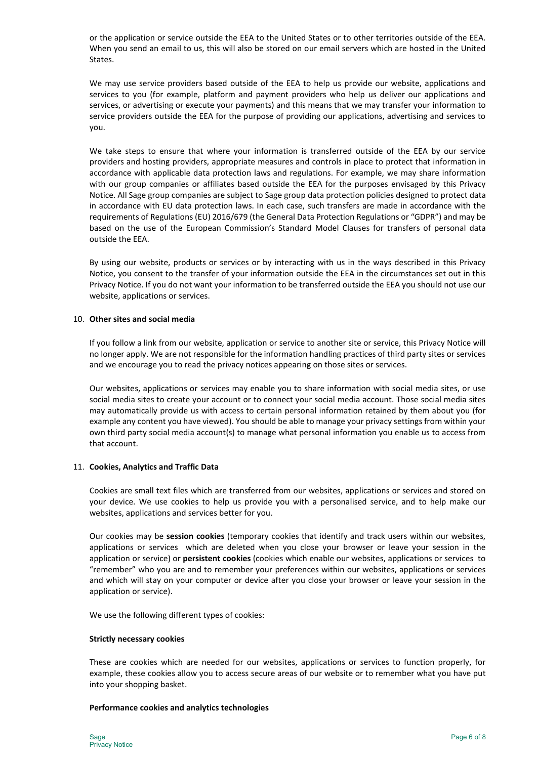or the application or service outside the EEA to the United States or to other territories outside of the EEA. When you send an email to us, this will also be stored on our email servers which are hosted in the United States.

We may use service providers based outside of the EEA to help us provide our website, applications and services to you (for example, platform and payment providers who help us deliver our applications and services, or advertising or execute your payments) and this means that we may transfer your information to service providers outside the EEA for the purpose of providing our applications, advertising and services to you.

We take steps to ensure that where your information is transferred outside of the EEA by our service providers and hosting providers, appropriate measures and controls in place to protect that information in accordance with applicable data protection laws and regulations. For example, we may share information with our group companies or affiliates based outside the EEA for the purposes envisaged by this Privacy Notice. All Sage group companies are subject to Sage group data protection policies designed to protect data in accordance with EU data protection laws. In each case, such transfers are made in accordance with the requirements of Regulations (EU) 2016/679 (the General Data Protection Regulations or "GDPR") and may be based on the use of the European Commission's Standard Model Clauses for transfers of personal data outside the EEA.

By using our website, products or services or by interacting with us in the ways described in this Privacy Notice, you consent to the transfer of your information outside the EEA in the circumstances set out in this Privacy Notice. If you do not want your information to be transferred outside the EEA you should not use our website, applications or services.

#### 10. Other sites and social media

If you follow a link from our website, application or service to another site or service, this Privacy Notice will no longer apply. We are not responsible for the information handling practices of third party sites or services and we encourage you to read the privacy notices appearing on those sites or services.

Our websites, applications or services may enable you to share information with social media sites, or use social media sites to create your account or to connect your social media account. Those social media sites may automatically provide us with access to certain personal information retained by them about you (for example any content you have viewed). You should be able to manage your privacy settings from within your own third party social media account(s) to manage what personal information you enable us to access from that account.

## 11. Cookies, Analytics and Traffic Data

Cookies are small text files which are transferred from our websites, applications or services and stored on your device. We use cookies to help us provide you with a personalised service, and to help make our websites, applications and services better for you.

Our cookies may be session cookies (temporary cookies that identify and track users within our websites, applications or services which are deleted when you close your browser or leave your session in the application or service) or **persistent cookies** (cookies which enable our websites, applications or services to "remember" who you are and to remember your preferences within our websites, applications or services and which will stay on your computer or device after you close your browser or leave your session in the application or service).

We use the following different types of cookies:

#### Strictly necessary cookies

These are cookies which are needed for our websites, applications or services to function properly, for example, these cookies allow you to access secure areas of our website or to remember what you have put into your shopping basket.

#### Performance cookies and analytics technologies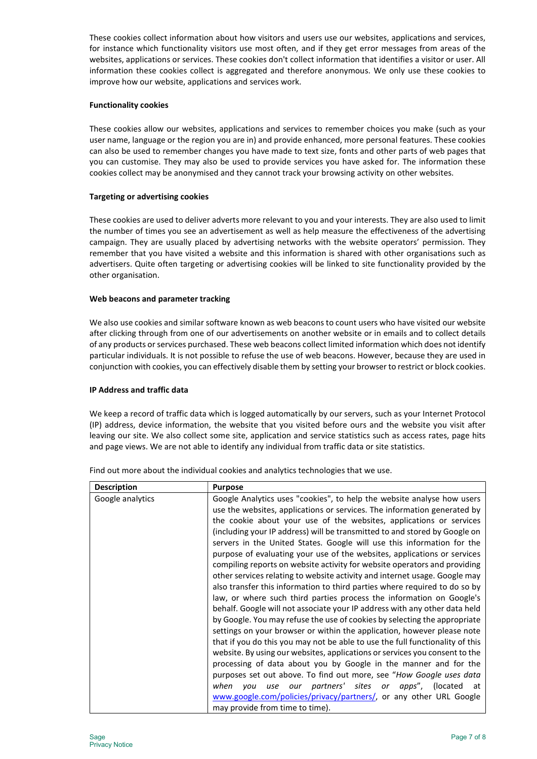These cookies collect information about how visitors and users use our websites, applications and services, for instance which functionality visitors use most often, and if they get error messages from areas of the websites, applications or services. These cookies don't collect information that identifies a visitor or user. All information these cookies collect is aggregated and therefore anonymous. We only use these cookies to improve how our website, applications and services work.

## Functionality cookies

These cookies allow our websites, applications and services to remember choices you make (such as your user name, language or the region you are in) and provide enhanced, more personal features. These cookies can also be used to remember changes you have made to text size, fonts and other parts of web pages that you can customise. They may also be used to provide services you have asked for. The information these cookies collect may be anonymised and they cannot track your browsing activity on other websites.

# Targeting or advertising cookies

These cookies are used to deliver adverts more relevant to you and your interests. They are also used to limit the number of times you see an advertisement as well as help measure the effectiveness of the advertising campaign. They are usually placed by advertising networks with the website operators' permission. They remember that you have visited a website and this information is shared with other organisations such as advertisers. Quite often targeting or advertising cookies will be linked to site functionality provided by the other organisation.

## Web beacons and parameter tracking

We also use cookies and similar software known as web beacons to count users who have visited our website after clicking through from one of our advertisements on another website or in emails and to collect details of any products or services purchased. These web beacons collect limited information which does not identify particular individuals. It is not possible to refuse the use of web beacons. However, because they are used in conjunction with cookies, you can effectively disable them by setting your browser to restrict or block cookies.

## IP Address and traffic data

We keep a record of traffic data which is logged automatically by our servers, such as your Internet Protocol (IP) address, device information, the website that you visited before ours and the website you visit after leaving our site. We also collect some site, application and service statistics such as access rates, page hits and page views. We are not able to identify any individual from traffic data or site statistics.

| <b>Description</b> | <b>Purpose</b>                                                                                                                                                                                                                                                                                                                                                                                                                                                                                                                                                                                                                                                                                                                                                                                                                                                                                                                                                                                                                                                                                                                                                                                                                                                                                                                                                                                                                                                                                           |
|--------------------|----------------------------------------------------------------------------------------------------------------------------------------------------------------------------------------------------------------------------------------------------------------------------------------------------------------------------------------------------------------------------------------------------------------------------------------------------------------------------------------------------------------------------------------------------------------------------------------------------------------------------------------------------------------------------------------------------------------------------------------------------------------------------------------------------------------------------------------------------------------------------------------------------------------------------------------------------------------------------------------------------------------------------------------------------------------------------------------------------------------------------------------------------------------------------------------------------------------------------------------------------------------------------------------------------------------------------------------------------------------------------------------------------------------------------------------------------------------------------------------------------------|
| Google analytics   | Google Analytics uses "cookies", to help the website analyse how users<br>use the websites, applications or services. The information generated by<br>the cookie about your use of the websites, applications or services<br>(including your IP address) will be transmitted to and stored by Google on<br>servers in the United States. Google will use this information for the<br>purpose of evaluating your use of the websites, applications or services<br>compiling reports on website activity for website operators and providing<br>other services relating to website activity and internet usage. Google may<br>also transfer this information to third parties where required to do so by<br>law, or where such third parties process the information on Google's<br>behalf. Google will not associate your IP address with any other data held<br>by Google. You may refuse the use of cookies by selecting the appropriate<br>settings on your browser or within the application, however please note<br>that if you do this you may not be able to use the full functionality of this<br>website. By using our websites, applications or services you consent to the<br>processing of data about you by Google in the manner and for the<br>purposes set out above. To find out more, see "How Google uses data<br>use our partners' sites or apps", (located at<br>when<br>vou<br>www.google.com/policies/privacy/partners/, or any other URL Google<br>may provide from time to time). |

Find out more about the individual cookies and analytics technologies that we use.